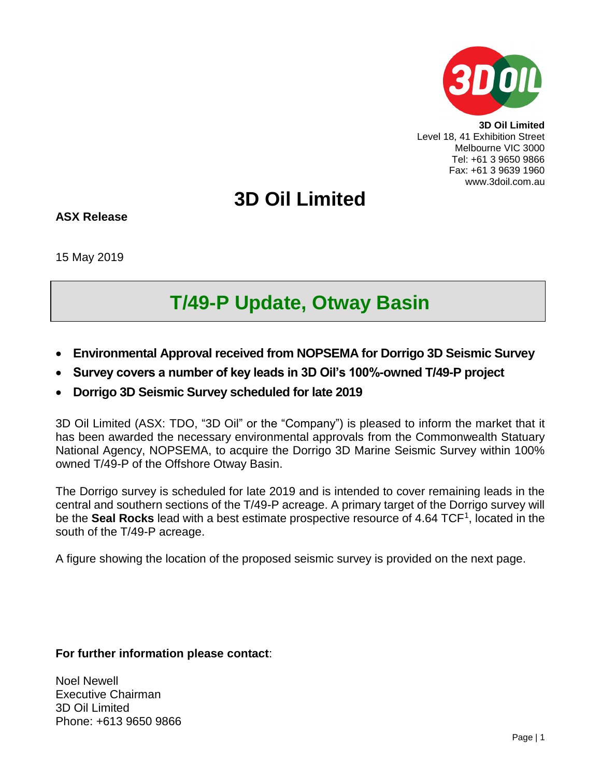

**3D Oil Limited** Level 18, 41 Exhibition Street Melbourne VIC 3000 Tel: +61 3 9650 9866 Fax: +61 3 9639 1960 www.3doil.com.au

## **3D Oil Limited**

**ASX Release**

15 May 2019

# **T/49-P Update, Otway Basin**

- **Environmental Approval received from NOPSEMA for Dorrigo 3D Seismic Survey**
- **Survey covers a number of key leads in 3D Oil's 100%-owned T/49-P project**
- **Dorrigo 3D Seismic Survey scheduled for late 2019**

3D Oil Limited (ASX: TDO, "3D Oil" or the "Company") is pleased to inform the market that it has been awarded the necessary environmental approvals from the Commonwealth Statuary National Agency, NOPSEMA, to acquire the Dorrigo 3D Marine Seismic Survey within 100% owned T/49-P of the Offshore Otway Basin.

The Dorrigo survey is scheduled for late 2019 and is intended to cover remaining leads in the central and southern sections of the T/49-P acreage. A primary target of the Dorrigo survey will be the **Seal Rocks** lead with a best estimate prospective resource of 4.64 TCF<sup>1</sup>, located in the south of the T/49-P acreage.

A figure showing the location of the proposed seismic survey is provided on the next page.

### **For further information please contact**:

Noel Newell Executive Chairman 3D Oil Limited Phone: +613 9650 9866